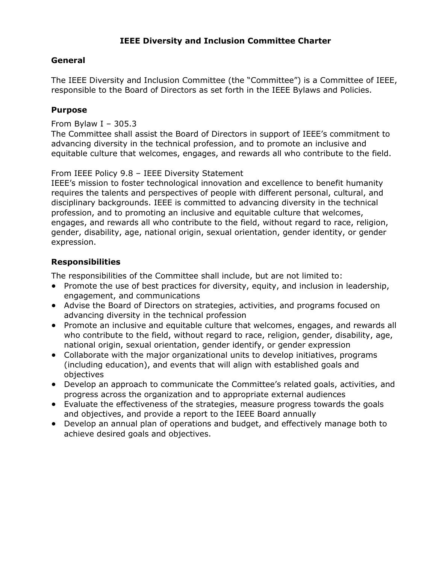# **IEEE Diversity and Inclusion Committee Charter**

## **General**

The IEEE Diversity and Inclusion Committee (the "Committee") is a Committee of IEEE, responsible to the Board of Directors as set forth in the IEEE Bylaws and Policies.

### **Purpose**

#### From Bylaw I – 305.3

The Committee shall assist the Board of Directors in support of IEEE's commitment to advancing diversity in the technical profession, and to promote an inclusive and equitable culture that welcomes, engages, and rewards all who contribute to the field.

## From IEEE Policy 9.8 – IEEE Diversity Statement

IEEE's mission to foster technological innovation and excellence to benefit humanity requires the talents and perspectives of people with different personal, cultural, and disciplinary backgrounds. IEEE is committed to advancing diversity in the technical profession, and to promoting an inclusive and equitable culture that welcomes, engages, and rewards all who contribute to the field, without regard to race, religion, gender, disability, age, national origin, sexual orientation, gender identity, or gender expression.

# **Responsibilities**

The responsibilities of the Committee shall include, but are not limited to:

- Promote the use of best practices for diversity, equity, and inclusion in leadership, engagement, and communications
- Advise the Board of Directors on strategies, activities, and programs focused on advancing diversity in the technical profession
- Promote an inclusive and equitable culture that welcomes, engages, and rewards all who contribute to the field, without regard to race, religion, gender, disability, age, national origin, sexual orientation, gender identify, or gender expression
- Collaborate with the major organizational units to develop initiatives, programs (including education), and events that will align with established goals and objectives
- Develop an approach to communicate the Committee's related goals, activities, and progress across the organization and to appropriate external audiences
- Evaluate the effectiveness of the strategies, measure progress towards the goals and objectives, and provide a report to the IEEE Board annually
- Develop an annual plan of operations and budget, and effectively manage both to achieve desired goals and objectives.